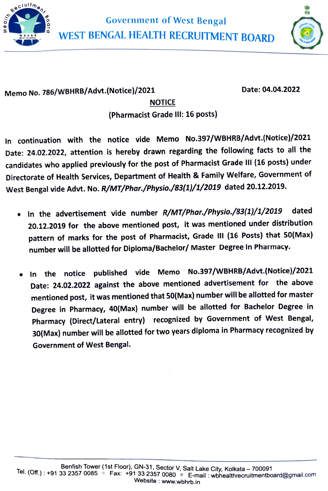

Government of West Bengal WEST BENGAL HEALTH RECRUITMENT BOARD



## Memo No. 786/WBHRB/Advt.(Notice)/2021

Date:04.04.2022

## NOTICE (Pharmacist Grade ll: 16 posts)

In continuation with the notice vide Memo No.397/WBHRB/Advt.(Notice)/2021 Date: 24.02.2022, attention is hereby drawn regarding the following facts to all the candidates who applied previously for the post of Pharmacist Grade III (16 posts) under Directorate of Health Services, Department of Health & Family Welfare, Government of West Bengal vide Advt. No. R/MT/Phar./Physio./83(1/1/2019 dated 20.12.2019.

- In the advertisement vide number R/MT/Phar./Physio./83(1)/1/2019 dated 20.12.2019 for the above mentioned post, it was mentioned under distribution pattern of marks for the post of Pharmacist, Grade III (16 Posts) that 50(Max) number will be allotted for Diploma/Bachelor/ Master Degree in Pharmacy.
- In the notice published vide Memo No.397/WBHRB/Advt.(Notice)/2021 Date: 24.02.2022 against the above mentioned advertisement for the above mentioned post, it was mentioned that 50(Max) number will be allotted for master Degree in Pharmacy, 40(Max) number will be allotted for Bachelor Degree in Pharmacy (Direct/Lateral entry) recognized by Government of West Bengal, 30(Max) number will be allotted for two years diploma in Pharmacy recognized by Government of West Bengal.